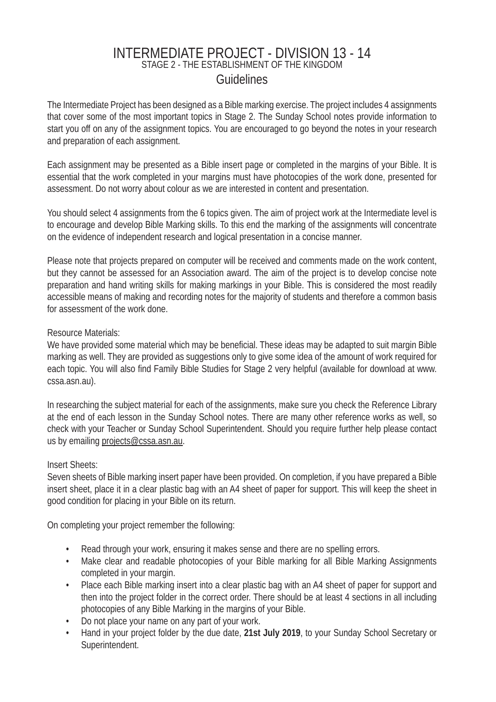# INTERMEDIATE PROJECT - DIVISION 13 - 14 STAGE 2 - THE ESTABLISHMENT OF THE KINGDOM **Guidelines**

The Intermediate Project has been designed as a Bible marking exercise. The project includes 4 assignments that cover some of the most important topics in Stage 2. The Sunday School notes provide information to start you off on any of the assignment topics. You are encouraged to go beyond the notes in your research and preparation of each assignment.

Each assignment may be presented as a Bible insert page or completed in the margins of your Bible. It is essential that the work completed in your margins must have photocopies of the work done, presented for assessment. Do not worry about colour as we are interested in content and presentation.

You should select 4 assignments from the 6 topics given. The aim of project work at the Intermediate level is to encourage and develop Bible Marking skills. To this end the marking of the assignments will concentrate on the evidence of independent research and logical presentation in a concise manner.

Please note that projects prepared on computer will be received and comments made on the work content, but they cannot be assessed for an Association award. The aim of the project is to develop concise note preparation and hand writing skills for making markings in your Bible. This is considered the most readily accessible means of making and recording notes for the majority of students and therefore a common basis for assessment of the work done.

## Resource Materials:

We have provided some material which may be beneficial. These ideas may be adapted to suit margin Bible marking as well. They are provided as suggestions only to give some idea of the amount of work required for each topic. You will also find Family Bible Studies for Stage 2 very helpful (available for download at www. cssa.asn.au).

In researching the subject material for each of the assignments, make sure you check the Reference Library at the end of each lesson in the Sunday School notes. There are many other reference works as well, so check with your Teacher or Sunday School Superintendent. Should you require further help please contact us by emailing projects@cssa.asn.au.

### Insert Sheets:

Seven sheets of Bible marking insert paper have been provided. On completion, if you have prepared a Bible insert sheet, place it in a clear plastic bag with an A4 sheet of paper for support. This will keep the sheet in good condition for placing in your Bible on its return.

On completing your project remember the following:

- Read through your work, ensuring it makes sense and there are no spelling errors.
- Make clear and readable photocopies of your Bible marking for all Bible Marking Assignments completed in your margin.
- Place each Bible marking insert into a clear plastic bag with an A4 sheet of paper for support and then into the project folder in the correct order. There should be at least 4 sections in all including photocopies of any Bible Marking in the margins of your Bible.
- Do not place your name on any part of your work.
- Hand in your project folder by the due date, **21st July 2019**, to your Sunday School Secretary or Superintendent.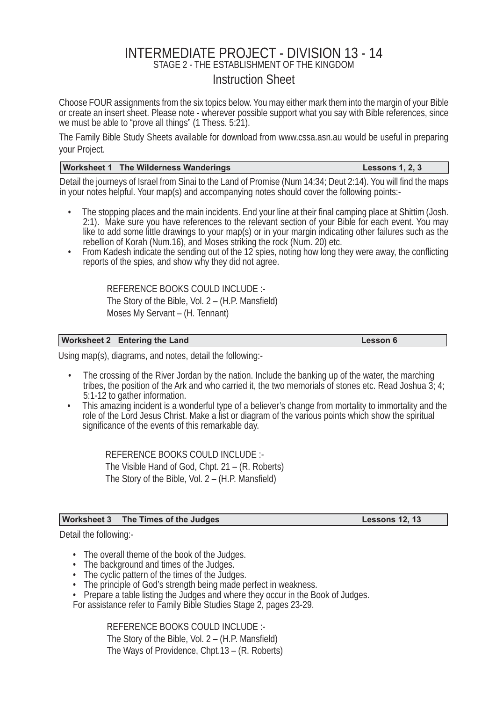# INTERMEDIATE PROJECT - DIVISION 13 - 14

STAGE 2 - THE ESTABLISHMENT OF THE KINGDOM

## Instruction Sheet

Choose FOUR assignments from the six topics below. You may either mark them into the margin of your Bible or create an insert sheet. Please note - wherever possible support what you say with Bible references, since we must be able to "prove all things" (1 Thess. 5:21).

The Family Bible Study Sheets available for download from www.cssa.asn.au would be useful in preparing your Project.

#### **Worksheet 1 The Wilderness Wanderings Lessons 1, 2, 3**

Detail the journeys of Israel from Sinai to the Land of Promise (Num 14:34; Deut 2:14). You will find the maps in your notes helpful. Your map(s) and accompanying notes should cover the following points:-

- The stopping places and the main incidents. End your line at their final camping place at Shittim (Josh. 2:1). Make sure you have references to the relevant section of your Bible for each event. You may like to add some little drawings to your map(s) or in your margin indicating other failures such as the rebellion of Korah (Num.16), and Moses striking the rock (Num. 20) etc.
- From Kadesh indicate the sending out of the 12 spies, noting how long they were away, the conflicting reports of the spies, and show why they did not agree.

REFERENCE BOOKS COULD INCLUDE :- The Story of the Bible, Vol.  $2 - (H.P.$  Mansfield) Moses My Servant – (H. Tennant)

#### **Worksheet 2 Entering the Land Community Community Community Community Community Community Community Community Community Community Community Community Community Community Community Community Community Community Community C**

Using map(s), diagrams, and notes, detail the following:-

- The crossing of the River Jordan by the nation. Include the banking up of the water, the marching tribes, the position of the Ark and who carried it, the two memorials of stones etc. Read Joshua  $\tilde{3}$ ; 4; 5:1-12 to gather information.
- This amazing incident is a wonderful type of a believer's change from mortality to immortality and the role of the Lord Jesus Christ. Make a list or diagram of the various points which show the spiritual significance of the events of this remarkable day.

REFERENCE BOOKS COULD INCLUDE :- The Visible Hand of God, Chpt. 21 – (R. Roberts) The Story of the Bible, Vol.  $2 - (H.P.$  Mansfield)

#### **Worksheet 3 The Times of the Judges Lessons 12, 13**

Detail the following:-

- The overall theme of the book of the Judges.
- The background and times of the Judges.
- The cyclic pattern of the times of the Judges.
- The principle of God's strength being made perfect in weakness.

• Prepare a table listing the Judges and where they occur in the Book of Judges.

For assistance refer to Family Bible Studies Stage 2, pages 23-29.

REFERENCE BOOKS COULD INCLUDE :- The Story of the Bible, Vol.  $2 - (H.P.$  Mansfield) The Ways of Providence, Chpt.13 – (R. Roberts)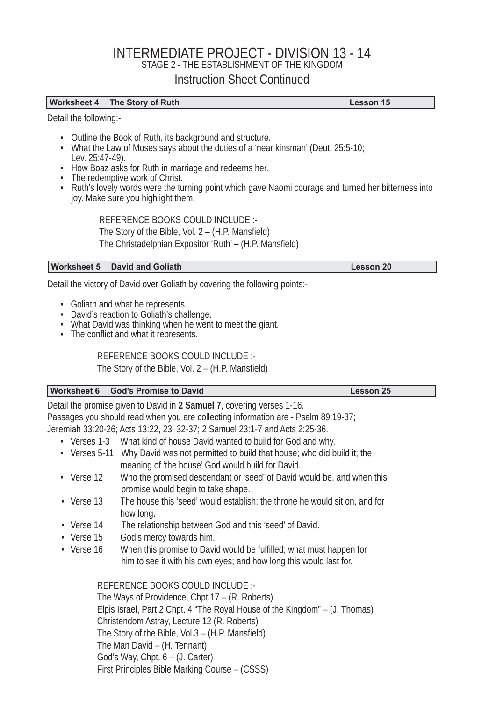# INTERMEDIATE PROJECT - DIVISION 13 - 14 STAGE 2 - THE ESTABLISHMENT OF THE KINGDOM Instruction Sheet Continued

#### **Worksheet 4 The Story of Ruth Lesson 15**

Detail the following:-

- Outline the Book of Ruth, its background and structure.
- What the Law of Moses says about the duties of a 'near kinsman' (Deut. 25:5-10; Lev. 25:47-49).
- How Boaz asks for Ruth in marriage and redeems her.
- The redemptive work of Christ.
- Ruth's lovely words were the turning point which gave Naomi courage and turned her bitterness into joy. Make sure you highlight them.

REFERENCE BOOKS COULD INCLUDE :- The Story of the Bible, Vol.  $2 - (H.P.$  Mansfield) The Christadelphian Expositor 'Ruth' - (H.P. Mansfield)

#### **Worksheet 5 David and Goliath Lesson 20** Number 2014 12:30 Number 2014

Detail the victory of David over Goliath by covering the following points:-

- Goliath and what he represents.
- David's reaction to Goliath's challenge.
- What David was thinking when he went to meet the giant.
- The conflict and what it represents.

REFERENCE BOOKS COULD INCLUDE :-

The Story of the Bible, Vol.  $2 - (H.P.$  Mansfield)

#### **Worksheet 6 God's Promise to David Lesson 25 Contract Contract Contract Contract Contract Contract Contract Contract Contract Contract Contract Contract Contract Contract Contract Contract Contract Contract Contract Contr**

Detail the promise given to David in **2 Samuel 7**, covering verses 1-16. Passages you should read when you are collecting information are - Psalm 89:19-37; Jeremiah 33:20-26; Acts 13:22, 23, 32-37; 2 Samuel 23:1-7 and Acts 2:25-36.

- Verses 1-3 What kind of house David wanted to build for God and why.
- Verses 5-11 Why David was not permitted to build that house; who did build it; the meaning of 'the house' God would build for David.
- Verse 12 Who the promised descendant or 'seed' of David would be, and when this promise would begin to take shape.
- Verse 13 The house this 'seed' would establish; the throne he would sit on, and for how long.
- Verse 14 The relationship between God and this 'seed' of David.
- Verse 15 God's mercy towards him.
- Verse 16 When this promise to David would be fulfilled; what must happen for him to see it with his own eyes; and how long this would last for.

 REFERENCE BOOKS COULD INCLUDE :- The Ways of Providence, Chpt.17 – (R. Roberts) Elpis Israel, Part 2 Chpt. 4 "The Royal House of the Kingdom" – (J. Thomas) Christendom Astray, Lecture 12 (R. Roberts) The Story of the Bible, Vol. $3 - (H.P.$  Mansfield) The Man David – (H. Tennant) God's Way, Chpt. 6 – (J. Carter) First Principles Bible Marking Course – (CSSS)